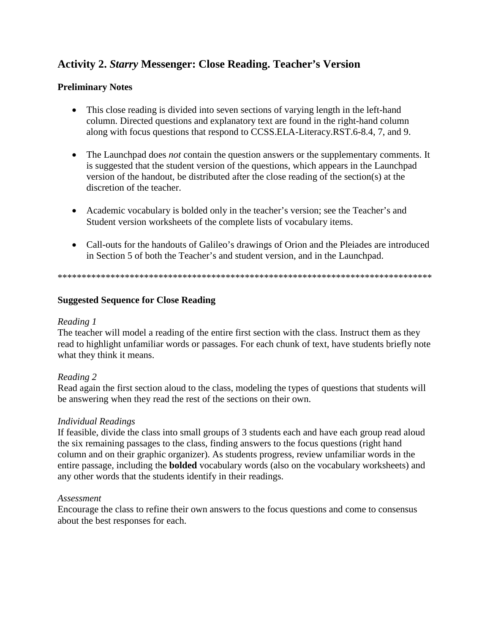# **Activity 2.** *Starry* **Messenger: Close Reading. Teacher's Version**

## **Preliminary Notes**

- This close reading is divided into seven sections of varying length in the left-hand column. Directed questions and explanatory text are found in the right-hand column along with focus questions that respond to CCSS.ELA-Literacy.RST.6-8.4, 7, and 9.
- The Launchpad does *not* contain the question answers or the supplementary comments. It is suggested that the student version of the questions, which appears in the Launchpad version of the handout, be distributed after the close reading of the section(s) at the discretion of the teacher.
- Academic vocabulary is bolded only in the teacher's version; see the Teacher's and Student version worksheets of the complete lists of vocabulary items.
- Call-outs for the handouts of Galileo's drawings of Orion and the Pleiades are introduced in Section 5 of both the Teacher's and student version, and in the Launchpad.

\*\*\*\*\*\*\*\*\*\*\*\*\*\*\*\*\*\*\*\*\*\*\*\*\*\*\*\*\*\*\*\*\*\*\*\*\*\*\*\*\*\*\*\*\*\*\*\*\*\*\*\*\*\*\*\*\*\*\*\*\*\*\*\*\*\*\*\*\*\*\*\*\*\*\*\*\*\*

## **Suggested Sequence for Close Reading**

### *Reading 1*

The teacher will model a reading of the entire first section with the class. Instruct them as they read to highlight unfamiliar words or passages. For each chunk of text, have students briefly note what they think it means.

## *Reading 2*

Read again the first section aloud to the class, modeling the types of questions that students will be answering when they read the rest of the sections on their own.

#### *Individual Readings*

If feasible, divide the class into small groups of 3 students each and have each group read aloud the six remaining passages to the class, finding answers to the focus questions (right hand column and on their graphic organizer). As students progress, review unfamiliar words in the entire passage, including the **bolded** vocabulary words (also on the vocabulary worksheets) and any other words that the students identify in their readings.

#### *Assessment*

Encourage the class to refine their own answers to the focus questions and come to consensus about the best responses for each.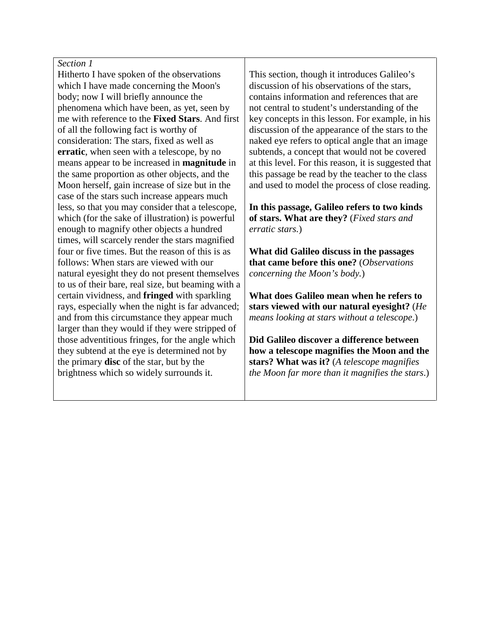Hitherto I have spoken of the observations which I have made concerning the Moon's body; now I will briefly announce the phenomena which have been, as yet, seen by me with reference to the **Fixed Stars**. And first of all the following fact is worthy of consideration: The stars, fixed as well as **erratic**, when seen with a telescope, by no means appear to be increased in **magnitude** in the same proportion as other objects, and the Moon herself, gain increase of size but in the case of the stars such increase appears much less, so that you may consider that a telescope, which (for the sake of illustration) is powerful enough to magnify other objects a hundred times, will scarcely render the stars magnified four or five times. But the reason of this is as follows: When stars are viewed with our natural eyesight they do not present themselves to us of their bare, real size, but beaming with a certain vividness, and **fringed** with sparkling rays, especially when the night is far advanced; and from this circumstance they appear much larger than they would if they were stripped of those adventitious fringes, for the angle which they subtend at the eye is determined not by the primary **disc** of the star, but by the brightness which so widely surrounds it.

This section, though it introduces Galileo's discussion of his observations of the stars, contains information and references that are not central to student's understanding of the key concepts in this lesson. For example, in his discussion of the appearance of the stars to the naked eye refers to optical angle that an image subtends, a concept that would not be covered at this level. For this reason, it is suggested that this passage be read by the teacher to the class and used to model the process of close reading.

**In this passage, Galileo refers to two kinds of stars. What are they?** (*Fixed stars and erratic stars.*)

**What did Galileo discuss in the passages that came before this one?** (*Observations concerning the Moon's body.*)

**What does Galileo mean when he refers to stars viewed with our natural eyesight?** (*He means looking at stars without a telescope*.)

**Did Galileo discover a difference between how a telescope magnifies the Moon and the stars? What was it?** (*A telescope magnifies the Moon far more than it magnifies the stars*.)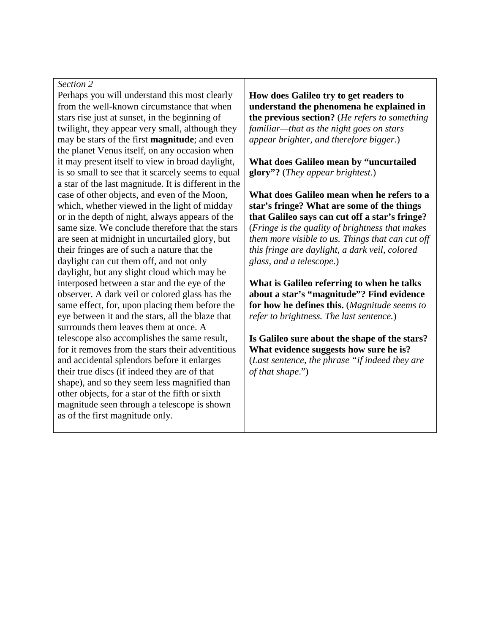Perhaps you will understand this most clearly from the well-known circumstance that when stars rise just at sunset, in the beginning of twilight, they appear very small, although they may be stars of the first **magnitude**; and even the planet Venus itself, on any occasion when it may present itself to view in broad daylight, is so small to see that it scarcely seems to equal a star of the last magnitude. It is different in the case of other objects, and even of the Moon, which, whether viewed in the light of midday or in the depth of night, always appears of the same size. We conclude therefore that the stars are seen at midnight in uncurtailed glory, but their fringes are of such a nature that the daylight can cut them off, and not only daylight, but any slight cloud which may be interposed between a star and the eye of the observer. A dark veil or colored glass has the same effect, for, upon placing them before the eye between it and the stars, all the blaze that surrounds them leaves them at once. A telescope also accomplishes the same result, for it removes from the stars their adventitious and accidental splendors before it enlarges their true discs (if indeed they are of that shape), and so they seem less magnified than other objects, for a star of the fifth or sixth magnitude seen through a telescope is shown as of the first magnitude only.

**How does Galileo try to get readers to understand the phenomena he explained in the previous section?** (*He refers to something familiar—that as the night goes on stars appear brighter, and therefore bigger*.)

**What does Galileo mean by "uncurtailed glory"?** (*They appear brightest*.)

**What does Galileo mean when he refers to a star's fringe? What are some of the things that Galileo says can cut off a star's fringe?** (*Fringe is the quality of brightness that makes them more visible to us. Things that can cut off this fringe are daylight, a dark veil, colored glass, and a telescope*.)

**What is Galileo referring to when he talks about a star's "magnitude"? Find evidence for how he defines this.** (*Magnitude seems to refer to brightness. The last sentence.*)

**Is Galileo sure about the shape of the stars? What evidence suggests how sure he is?** (*Last sentence, the phrase "if indeed they are of that shape*.")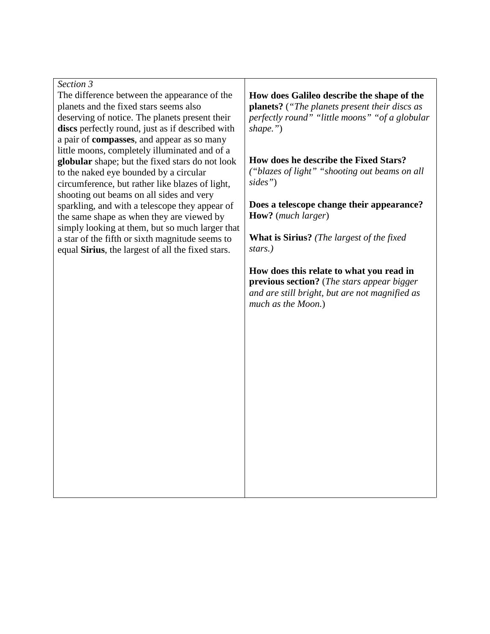*Section 3* The difference between the appearance of the planets and the fixed stars seems also deserving of notice. The planets present their **discs** perfectly round, just as if described with a pair of **compasses**, and appear as so many little moons, completely illuminated and of a **globular** shape; but the fixed stars do not look to the naked eye bounded by a circular circumference, but rather like blazes of light, shooting out beams on all sides and very sparkling, and with a telescope they appear of the same shape as when they are viewed by simply looking at them, but so much larger that a star of the fifth or sixth magnitude seems to equal **Sirius**, the largest of all the fixed stars.

**How does Galileo describe the shape of the planets?** (*"The planets present their discs as perfectly round" "little moons" "of a globular shape."*)

**How does he describe the Fixed Stars?** *("blazes of light" "shooting out beams on all sides"*)

**Does a telescope change their appearance? How?** (*much larger*)

**What is Sirius?** *(The largest of the fixed stars.)*

**How does this relate to what you read in previous section?** (*The stars appear bigger and are still bright, but are not magnified as much as the Moon.*)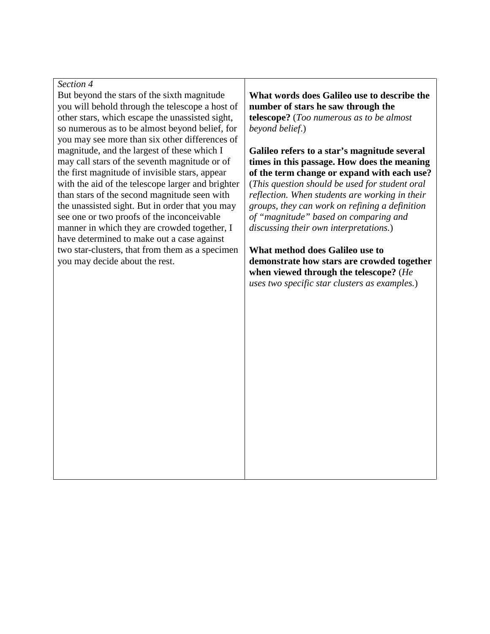But beyond the stars of the sixth magnitude you will behold through the telescope a host of other stars, which escape the unassisted sight, so numerous as to be almost beyond belief, for you may see more than six other differences of magnitude, and the largest of these which I may call stars of the seventh magnitude or of the first magnitude of invisible stars, appear with the aid of the telescope larger and brighter than stars of the second magnitude seen with the unassisted sight. But in order that you may see one or two proofs of the inconceivable manner in which they are crowded together, I have determined to make out a case against two star-clusters, that from them as a specimen you may decide about the rest.

**What words does Galileo use to describe the number of stars he saw through the telescope?** (*Too numerous as to be almost beyond belief*.)

**Galileo refers to a star's magnitude several times in this passage. How does the meaning of the term change or expand with each use?**  (*This question should be used for student oral reflection. When students are working in their groups, they can work on refining a definition of "magnitude" based on comparing and discussing their own interpretations.*)

**What method does Galileo use to demonstrate how stars are crowded together when viewed through the telescope?** (*He uses two specific star clusters as examples.*)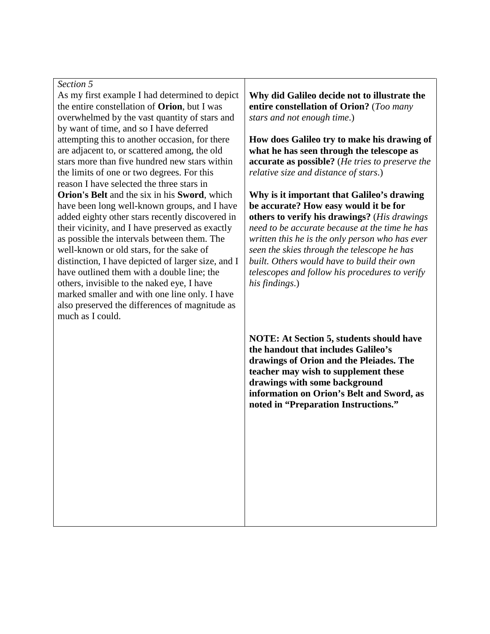As my first example I had determined to depict the entire constellation of **Orion**, but I was overwhelmed by the vast quantity of stars and by want of time, and so I have deferred attempting this to another occasion, for there are adjacent to, or scattered among, the old stars more than five hundred new stars within the limits of one or two degrees. For this reason I have selected the three stars in **Orion's Belt** and the six in his **Sword**, which have been long well-known groups, and I have added eighty other stars recently discovered in their vicinity, and I have preserved as exactly as possible the intervals between them. The well-known or old stars, for the sake of distinction, I have depicted of larger size, and I have outlined them with a double line; the others, invisible to the naked eye, I have marked smaller and with one line only. I have also preserved the differences of magnitude as much as I could.

**Why did Galileo decide not to illustrate the entire constellation of Orion?** (*Too many stars and not enough time*.)

**How does Galileo try to make his drawing of what he has seen through the telescope as accurate as possible?** (*He tries to preserve the relative size and distance of stars*.)

**Why is it important that Galileo's drawing be accurate? How easy would it be for others to verify his drawings?** (*His drawings need to be accurate because at the time he has written this he is the only person who has ever seen the skies through the telescope he has built. Others would have to build their own telescopes and follow his procedures to verify his findings*.)

**NOTE: At Section 5, students should have the handout that includes Galileo's drawings of Orion and the Pleiades. The teacher may wish to supplement these drawings with some background information on Orion's Belt and Sword, as noted in "Preparation Instructions."**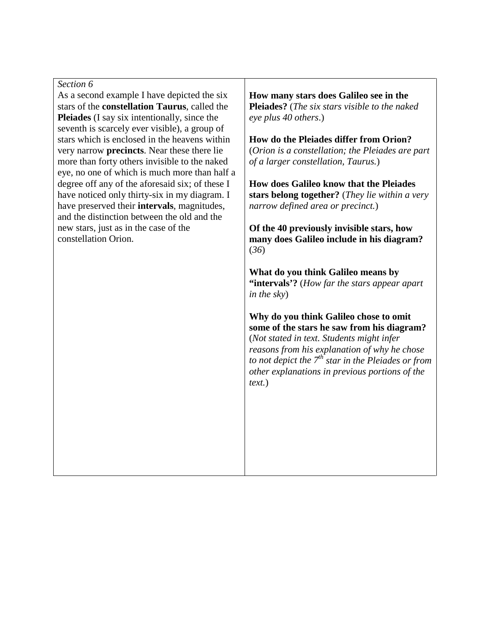As a second example I have depicted the six stars of the **constellation Taurus**, called the **Pleiades** (I say six intentionally, since the seventh is scarcely ever visible), a group of stars which is enclosed in the heavens within very narrow **precincts**. Near these there lie more than forty others invisible to the naked eye, no one of which is much more than half a degree off any of the aforesaid six; of these I have noticed only thirty-six in my diagram. I have preserved their **intervals**, magnitudes, and the distinction between the old and the new stars, just as in the case of the constellation Orion.

**How many stars does Galileo see in the Pleiades?** (*The six stars visible to the naked eye plus 40 others*.)

**How do the Pleiades differ from Orion?**  (*Orion is a constellation; the Pleiades are part of a larger constellation, Taurus.*)

**How does Galileo know that the Pleiades stars belong together?** (*They lie within a very narrow defined area or precinct.*)

**Of the 40 previously invisible stars, how many does Galileo include in his diagram?** (*36*)

**What do you think Galileo means by "intervals'?** (*How far the stars appear apart in the sky*)

**Why do you think Galileo chose to omit some of the stars he saw from his diagram?**  (*Not stated in text. Students might infer reasons from his explanation of why he chose to not depict the 7th star in the Pleiades or from other explanations in previous portions of the text.*)